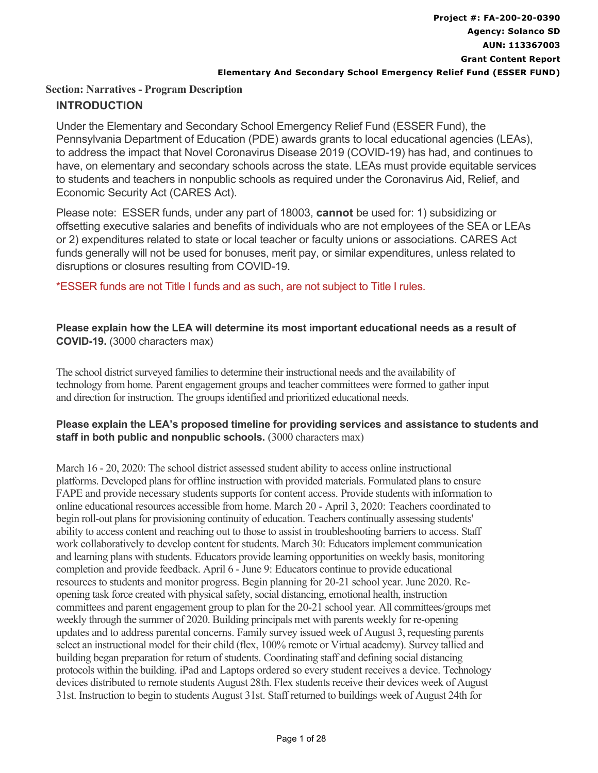#### **Section: Narratives - Program Description**

### **INTRODUCTION**

Under the Elementary and Secondary School Emergency Relief Fund (ESSER Fund), the Pennsylvania Department of Education (PDE) awards grants to local educational agencies (LEAs), to address the impact that Novel Coronavirus Disease 2019 (COVID-19) has had, and continues to have, on elementary and secondary schools across the state. LEAs must provide equitable services to students and teachers in nonpublic schools as required under the Coronavirus Aid, Relief, and Economic Security Act (CARES Act).

Please note: ESSER funds, under any part of 18003, **cannot** be used for: 1) subsidizing or offsetting executive salaries and benefits of individuals who are not employees of the SEA or LEAs or 2) expenditures related to state or local teacher or faculty unions or associations. CARES Act funds generally will not be used for bonuses, merit pay, or similar expenditures, unless related to disruptions or closures resulting from COVID-19.

\*ESSER funds are not Title I funds and as such, are not subject to Title I rules.

#### **Please explain how the LEA will determine its most important educational needs as a result of COVID-19.** (3000 characters max)

The school district surveyed families to determine their instructional needs and the availability of technology from home. Parent engagement groups and teacher committees were formed to gather input and direction for instruction. The groups identified and prioritized educational needs.

### **Please explain the LEA's proposed timeline for providing services and assistance to students and staff in both public and nonpublic schools.** (3000 characters max)

March 16 - 20, 2020: The school district assessed student ability to access online instructional platforms. Developed plans for offline instruction with provided materials. Formulated plans to ensure FAPE and provide necessary students supports for content access. Provide students with information to online educational resources accessible from home. March 20 - April 3, 2020: Teachers coordinated to begin roll-out plans for provisioning continuity of education. Teachers continually assessing students' ability to access content and reaching out to those to assist in troubleshooting barriers to access. Staff work collaboratively to develop content for students. March 30: Educators implement communication and learning plans with students. Educators provide learning opportunities on weekly basis, monitoring completion and provide feedback. April 6 - June 9: Educators continue to provide educational resources to students and monitor progress. Begin planning for 20-21 school year. June 2020. Reopening task force created with physical safety, social distancing, emotional health, instruction committees and parent engagement group to plan for the 20-21 school year. All committees/groups met weekly through the summer of 2020. Building principals met with parents weekly for re-opening updates and to address parental concerns. Family survey issued week of August 3, requesting parents select an instructional model for their child (flex, 100% remote or Virtual academy). Survey tallied and building began preparation for return of students. Coordinating staff and defining social distancing protocols within the building. iPad and Laptops ordered so every student receives a device. Technology devices distributed to remote students August 28th. Flex students receive their devices week of August 31st. Instruction to begin to students August 31st. Staff returned to buildings week of August 24th for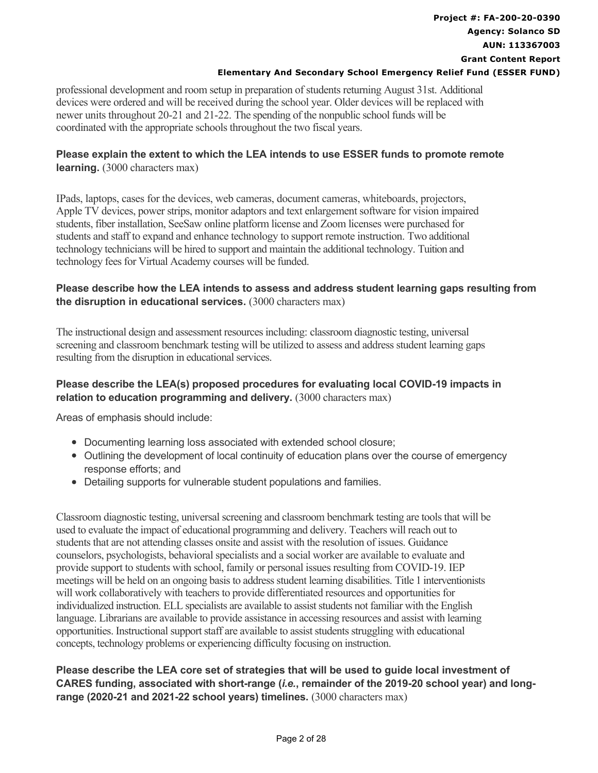professional development and room setup in preparation of students returning August 31st. Additional devices were ordered and will be received during the school year. Older devices will be replaced with newer units throughout 20-21 and 21-22. The spending of the nonpublic school funds will be coordinated with the appropriate schools throughout the two fiscal years.

#### **Please explain the extent to which the LEA intends to use ESSER funds to promote remote learning.** (3000 characters max)

IPads, laptops, cases for the devices, web cameras, document cameras, whiteboards, projectors, Apple TV devices, power strips, monitor adaptors and text enlargement software for vision impaired students, fiber installation, SeeSaw online platform license and Zoom licenses were purchased for students and staff to expand and enhance technology to support remote instruction. Two additional technology technicians will be hired to support and maintain the additional technology. Tuition and technology fees for Virtual Academy courses will be funded.

### **Please describe how the LEA intends to assess and address student learning gaps resulting from the disruption in educational services.** (3000 characters max)

The instructional design and assessment resources including: classroom diagnostic testing, universal screening and classroom benchmark testing will be utilized to assess and address student learning gaps resulting from the disruption in educational services.

#### **Please describe the LEA(s) proposed procedures for evaluating local COVID-19 impacts in relation to education programming and delivery.** (3000 characters max)

Areas of emphasis should include:

- Documenting learning loss associated with extended school closure;
- Outlining the development of local continuity of education plans over the course of emergency response efforts; and
- Detailing supports for vulnerable student populations and families.

Classroom diagnostic testing, universal screening and classroom benchmark testing are tools that will be used to evaluate the impact of educational programming and delivery. Teachers will reach out to students that are not attending classes onsite and assist with the resolution of issues. Guidance counselors, psychologists, behavioral specialists and a social worker are available to evaluate and provide support to students with school, family or personal issues resulting from COVID-19. IEP meetings will be held on an ongoing basis to address student learning disabilities. Title 1 interventionists will work collaboratively with teachers to provide differentiated resources and opportunities for individualized instruction. ELL specialists are available to assist students not familiar with the English language. Librarians are available to provide assistance in accessing resources and assist with learning opportunities. Instructional support staff are available to assist students struggling with educational concepts, technology problems or experiencing difficulty focusing on instruction.

**Please describe the LEA core set of strategies that will be used to guide local investment of CARES funding, associated with short-range (***i.e.***, remainder of the 2019-20 school year) and longrange (2020-21 and 2021-22 school years) timelines.** (3000 characters max)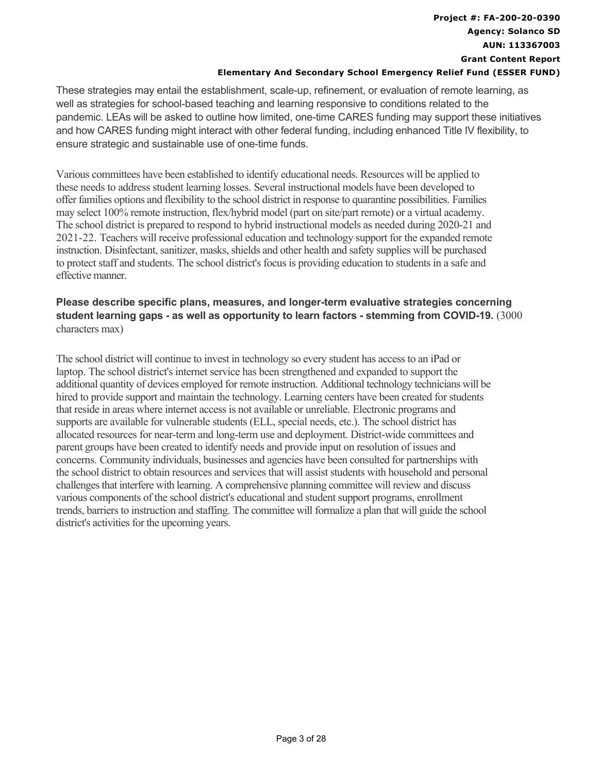These strategies may entail the establishment, scale-up, refinement, or evaluation of remote learning, as well as strategies for school-based teaching and learning responsive to conditions related to the pandemic. LEAs will be asked to outline how limited, one-time CARES funding may support these initiatives and how CARES funding might interact with other federal funding, including enhanced Title IV flexibility, to ensure strategic and sustainable use of one-time funds.

Various committees have been established to identify educational needs. Resources will be applied to these needs to address student learning losses. Several instructional models have been developed to offer families options and flexibility to the school district in response to quarantine possibilities. Families may select 100% remote instruction, flex/hybrid model (part on site/part remote) or a virtual academy. The school district is prepared to respond to hybrid instructional models as needed during 2020-21 and 2021-22. Teachers will receive professional education and technology support for the expanded remote instruction. Disinfectant, sanitizer, masks, shields and other health and safety supplies will be purchased to protect staff and students. The school district's focus is providing education to students in a safe and effective manner.

#### **Please describe specific plans, measures, and longer-term evaluative strategies concerning student learning gaps - as well as opportunity to learn factors - stemming from COVID-19.** (3000 characters max)

The school district will continue to invest in technology so every student has access to an iPad or laptop. The school district's internet service has been strengthened and expanded to support the additional quantity of devices employed for remote instruction. Additional technology technicians will be hired to provide support and maintain the technology. Learning centers have been created for students that reside in areas where internet access is not available or unreliable. Electronic programs and supports are available for vulnerable students (ELL, special needs, etc.). The school district has allocated resources for near-term and long-term use and deployment. District-wide committees and parent groups have been created to identify needs and provide input on resolution of issues and concerns. Community individuals, businesses and agencies have been consulted for partnerships with the school district to obtain resources and services that will assist students with household and personal challenges that interfere with learning. A comprehensive planning committee will review and discuss various components of the school district's educational and student support programs, enrollment trends, barriers to instruction and staffing. The committee will formalize a plan that will guide the school district's activities for the upcoming years.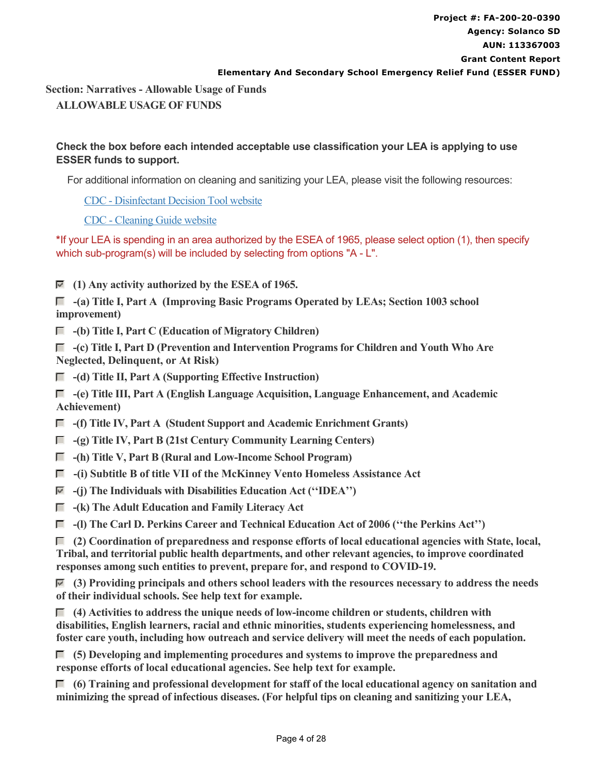**Section: Narratives - Allowable Usage of Funds ALLOWABLE USAGE OF FUNDS**

## **Check the box before each intended acceptable use classification your LEA is applying to use ESSER funds to support.**

For additional information on cleaning and sanitizing your LEA, please visit the following resources:

[CDC - Disinfectant Decision Tool website](https://www.cdc.gov/coronavirus/2019-ncov/community/pdf/ReOpening_America_Cleaning_Disinfection_Decision_Tool.pdf)

[CDC - Cleaning Guide website](https://www.cdc.gov/coronavirus/2019-ncov/community/disinfecting-building-facility.html)

**\***If your LEA is spending in an area authorized by the ESEA of 1965, please select option (1), then specify which sub-program(s) will be included by selecting from options "A - L".

 **(1) Any activity authorized by the ESEA of 1965.**

 **-(a) Title I, Part A (Improving Basic Programs Operated by LEAs; Section 1003 school improvement)** 

 **-(b) Title I, Part C (Education of Migratory Children)**

 **-(c) Title I, Part D (Prevention and Intervention Programs for Children and Youth Who Are Neglected, Delinquent, or At Risk)**

 **-(d) Title II, Part A (Supporting Effective Instruction)**

 **-(e) Title III, Part A (English Language Acquisition, Language Enhancement, and Academic Achievement)**

 **-(f) Title IV, Part A (Student Support and Academic Enrichment Grants)**

- **-(g) Title IV, Part B (21st Century Community Learning Centers)**
- **-(h) Title V, Part B (Rural and Low-Income School Program)**
- **-(i) Subtitle B of title VII of the McKinney Vento Homeless Assistance Act**
- **-(j) The Individuals with Disabilities Education Act (''IDEA'')**
- **-(k) The Adult Education and Family Literacy Act**

 **-(l) The Carl D. Perkins Career and Technical Education Act of 2006 (''the Perkins Act'')**

 **(2) Coordination of preparedness and response efforts of local educational agencies with State, local, Tribal, and territorial public health departments, and other relevant agencies, to improve coordinated responses among such entities to prevent, prepare for, and respond to COVID-19.**

 **(3) Providing principals and others school leaders with the resources necessary to address the needs of their individual schools. See help text for example.**

 **(4) Activities to address the unique needs of low-income children or students, children with disabilities, English learners, racial and ethnic minorities, students experiencing homelessness, and foster care youth, including how outreach and service delivery will meet the needs of each population.**

 **(5) Developing and implementing procedures and systems to improve the preparedness and response efforts of local educational agencies. See help text for example.**

 **(6) Training and professional development for staff of the local educational agency on sanitation and minimizing the spread of infectious diseases. (For helpful tips on cleaning and sanitizing your LEA,**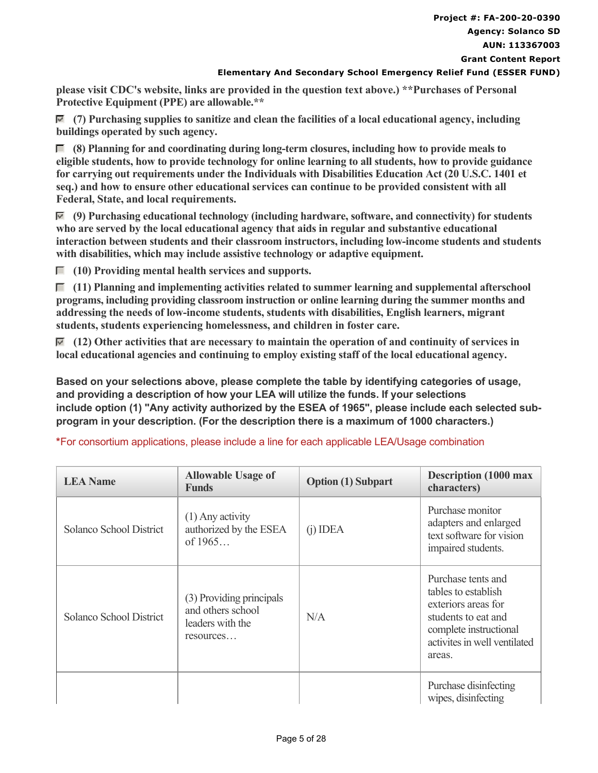**please visit CDC's website, links are provided in the question text above.) \*\*Purchases of Personal**

**Protective Equipment (PPE) are allowable.\*\***

 **(7) Purchasing supplies to sanitize and clean the facilities of a local educational agency, including buildings operated by such agency.**

 **(8) Planning for and coordinating during long-term closures, including how to provide meals to eligible students, how to provide technology for online learning to all students, how to provide guidance for carrying out requirements under the Individuals with Disabilities Education Act (20 U.S.C. 1401 et seq.) and how to ensure other educational services can continue to be provided consistent with all Federal, State, and local requirements.**

 **(9) Purchasing educational technology (including hardware, software, and connectivity) for students who are served by the local educational agency that aids in regular and substantive educational interaction between students and their classroom instructors, including low-income students and students with disabilities, which may include assistive technology or adaptive equipment.**

 **(10) Providing mental health services and supports.**

 **(11) Planning and implementing activities related to summer learning and supplemental afterschool programs, including providing classroom instruction or online learning during the summer months and addressing the needs of low-income students, students with disabilities, English learners, migrant students, students experiencing homelessness, and children in foster care.**

 **(12) Other activities that are necessary to maintain the operation of and continuity of services in local educational agencies and continuing to employ existing staff of the local educational agency.**

**Based on your selections above, please complete the table by identifying categories of usage, and providing a description of how your LEA will utilize the funds. If your selections include option (1) "Any activity authorized by the ESEA of 1965", please include each selected subprogram in your description. (For the description there is a maximum of 1000 characters.)**

| <b>LEA Name</b>         | <b>Allowable Usage of</b><br><b>Funds</b>                                      | <b>Option (1) Subpart</b> | <b>Description (1000 max</b><br>characters)                                                                                                                 |
|-------------------------|--------------------------------------------------------------------------------|---------------------------|-------------------------------------------------------------------------------------------------------------------------------------------------------------|
| Solanco School District | $(1)$ Any activity<br>authorized by the ESEA<br>of $1965$                      | $(i)$ IDEA                | Purchase monitor<br>adapters and enlarged<br>text software for vision<br>impaired students.                                                                 |
| Solanco School District | (3) Providing principals<br>and others school<br>leaders with the<br>resources | N/A                       | Purchase tents and<br>tables to establish<br>exteriors areas for<br>students to eat and<br>complete instructional<br>activites in well ventilated<br>areas. |
|                         |                                                                                |                           | Purchase disinfecting<br>wipes, disinfecting                                                                                                                |

**\***For consortium applications, please include a line for each applicable LEA/Usage combination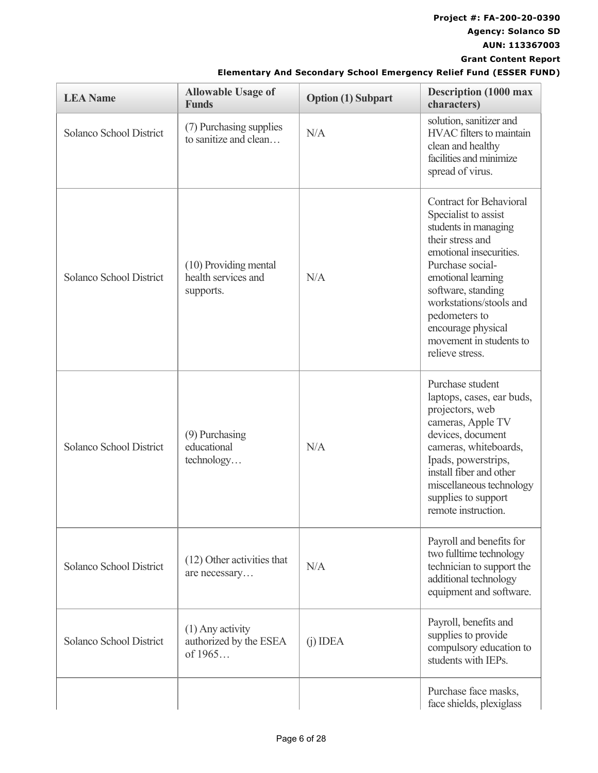**Project #: FA-200-20-0390 Agency: Solanco SD AUN: 113367003 Grant Content Report**

|  | <b>Elementary And Secondary School Emergency Relief Fund (ESSER FUND)</b> |  |
|--|---------------------------------------------------------------------------|--|

| <b>LEA Name</b>         | <b>Allowable Usage of</b><br><b>Funds</b>                 | <b>Option (1) Subpart</b> | <b>Description (1000 max</b><br>characters)                                                                                                                                                                                                                                                                   |
|-------------------------|-----------------------------------------------------------|---------------------------|---------------------------------------------------------------------------------------------------------------------------------------------------------------------------------------------------------------------------------------------------------------------------------------------------------------|
| Solanco School District | (7) Purchasing supplies<br>to sanitize and clean          | N/A                       | solution, sanitizer and<br><b>HVAC</b> filters to maintain<br>clean and healthy<br>facilities and minimize<br>spread of virus.                                                                                                                                                                                |
| Solanco School District | (10) Providing mental<br>health services and<br>supports. | N/A                       | <b>Contract for Behavioral</b><br>Specialist to assist<br>students in managing<br>their stress and<br>emotional insecurities.<br>Purchase social-<br>emotional learning<br>software, standing<br>workstations/stools and<br>pedometers to<br>encourage physical<br>movement in students to<br>relieve stress. |
| Solanco School District | (9) Purchasing<br>educational<br>technology               | N/A                       | Purchase student<br>laptops, cases, ear buds,<br>projectors, web<br>cameras, Apple TV<br>devices, document<br>cameras, whiteboards,<br>Ipads, powerstrips,<br>install fiber and other<br>miscellaneous technology<br>supplies to support<br>remote instruction.                                               |
| Solanco School District | (12) Other activities that<br>are necessary               | N/A                       | Payroll and benefits for<br>two fulltime technology<br>technician to support the<br>additional technology<br>equipment and software.                                                                                                                                                                          |
| Solanco School District | (1) Any activity<br>authorized by the ESEA<br>of 1965     | $(i)$ IDEA                | Payroll, benefits and<br>supplies to provide<br>compulsory education to<br>students with IEPs.                                                                                                                                                                                                                |
|                         |                                                           |                           | Purchase face masks,<br>face shields, plexiglass                                                                                                                                                                                                                                                              |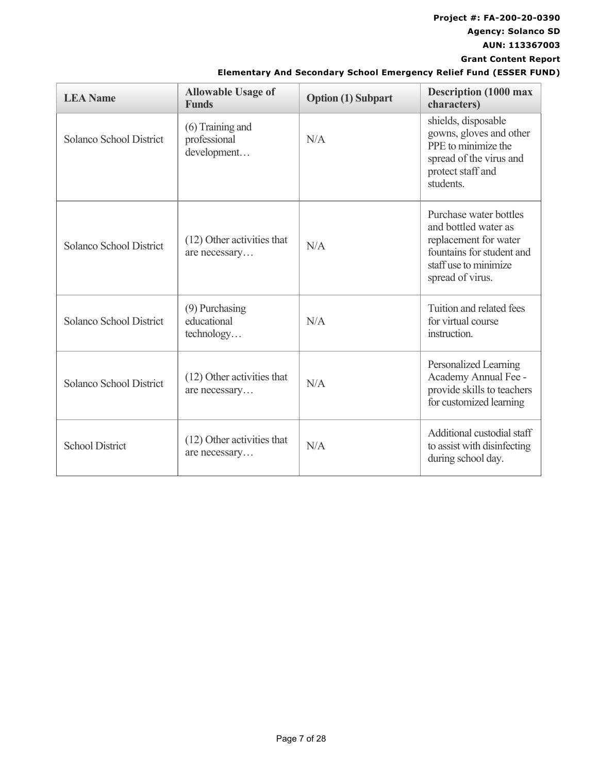**Project #: FA-200-20-0390 Agency: Solanco SD AUN: 113367003 Grant Content Report**

| <b>Elementary And Secondary School Emergency Relief Fund (ESSER FUND)</b> |  |  |  |
|---------------------------------------------------------------------------|--|--|--|
|                                                                           |  |  |  |

| <b>LEA Name</b>         | <b>Allowable Usage of</b><br><b>Funds</b>       | <b>Option (1) Subpart</b> | <b>Description (1000 max</b><br>characters)                                                                                                       |
|-------------------------|-------------------------------------------------|---------------------------|---------------------------------------------------------------------------------------------------------------------------------------------------|
| Solanco School District | (6) Training and<br>professional<br>development | N/A                       | shields, disposable<br>gowns, gloves and other<br>PPE to minimize the<br>spread of the virus and<br>protect staff and<br>students.                |
| Solanco School District | (12) Other activities that<br>are necessary     | N/A                       | Purchase water bottles<br>and bottled water as<br>replacement for water<br>fountains for student and<br>staff use to minimize<br>spread of virus. |
| Solanco School District | (9) Purchasing<br>educational<br>technology     | N/A                       | Tuition and related fees<br>for virtual course<br>instruction.                                                                                    |
| Solanco School District | (12) Other activities that<br>are necessary     | N/A                       | Personalized Learning<br>Academy Annual Fee -<br>provide skills to teachers<br>for customized learning                                            |
| <b>School District</b>  | (12) Other activities that<br>are necessary     | N/A                       | Additional custodial staff<br>to assist with disinfecting<br>during school day.                                                                   |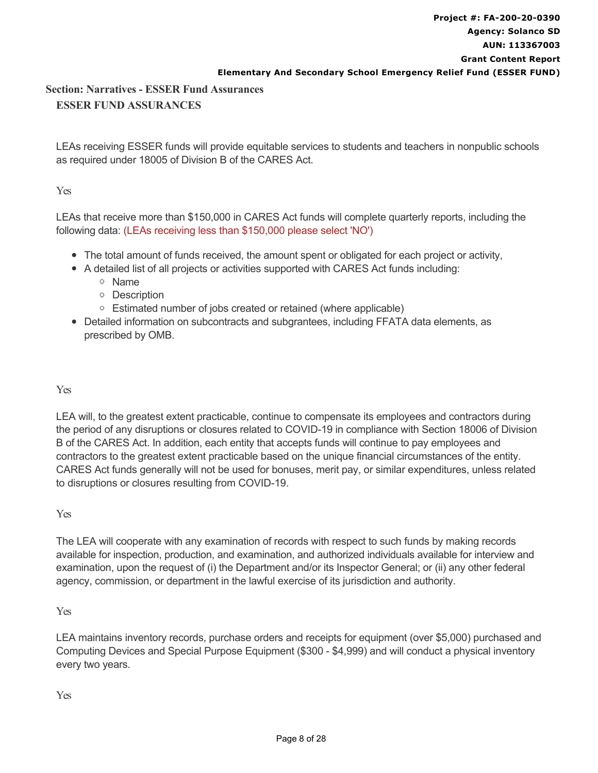## **Section: Narratives - ESSER Fund Assurances ESSER FUND ASSURANCES**

LEAs receiving ESSER funds will provide equitable services to students and teachers in nonpublic schools as required under 18005 of Division B of the CARES Act.

#### Yes

LEAs that receive more than \$150,000 in CARES Act funds will complete quarterly reports, including the following data: (LEAs receiving less than \$150,000 please select 'NO')

- The total amount of funds received, the amount spent or obligated for each project or activity,
- A detailed list of all projects or activities supported with CARES Act funds including:
	- Name
	- Description
	- Estimated number of jobs created or retained (where applicable)
- Detailed information on subcontracts and subgrantees, including FFATA data elements, as prescribed by OMB.

## Yes

LEA will, to the greatest extent practicable, continue to compensate its employees and contractors during the period of any disruptions or closures related to COVID-19 in compliance with Section 18006 of Division B of the CARES Act. In addition, each entity that accepts funds will continue to pay employees and contractors to the greatest extent practicable based on the unique financial circumstances of the entity. CARES Act funds generally will not be used for bonuses, merit pay, or similar expenditures, unless related to disruptions or closures resulting from COVID-19.

#### Yes

The LEA will cooperate with any examination of records with respect to such funds by making records available for inspection, production, and examination, and authorized individuals available for interview and examination, upon the request of (i) the Department and/or its Inspector General; or (ii) any other federal agency, commission, or department in the lawful exercise of its jurisdiction and authority.

#### Yes

LEA maintains inventory records, purchase orders and receipts for equipment (over \$5,000) purchased and Computing Devices and Special Purpose Equipment (\$300 - \$4,999) and will conduct a physical inventory every two years.

Yes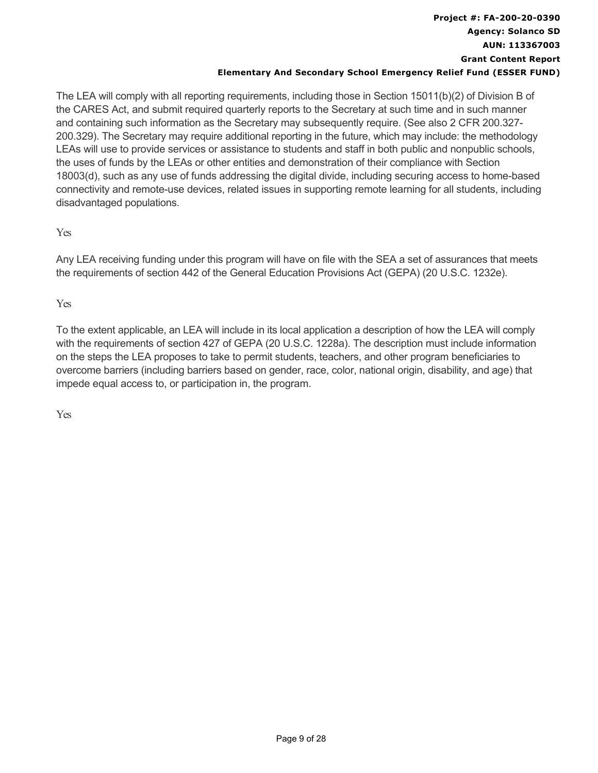The LEA will comply with all reporting requirements, including those in Section 15011(b)(2) of Division B of the CARES Act, and submit required quarterly reports to the Secretary at such time and in such manner and containing such information as the Secretary may subsequently require. (See also 2 CFR 200.327- 200.329). The Secretary may require additional reporting in the future, which may include: the methodology LEAs will use to provide services or assistance to students and staff in both public and nonpublic schools, the uses of funds by the LEAs or other entities and demonstration of their compliance with Section 18003(d), such as any use of funds addressing the digital divide, including securing access to home-based connectivity and remote-use devices, related issues in supporting remote learning for all students, including disadvantaged populations.

#### Yes

Any LEA receiving funding under this program will have on file with the SEA a set of assurances that meets the requirements of section 442 of the General Education Provisions Act (GEPA) (20 U.S.C. 1232e).

### Yes

To the extent applicable, an LEA will include in its local application a description of how the LEA will comply with the requirements of section 427 of GEPA (20 U.S.C. 1228a). The description must include information on the steps the LEA proposes to take to permit students, teachers, and other program beneficiaries to overcome barriers (including barriers based on gender, race, color, national origin, disability, and age) that impede equal access to, or participation in, the program.

Yes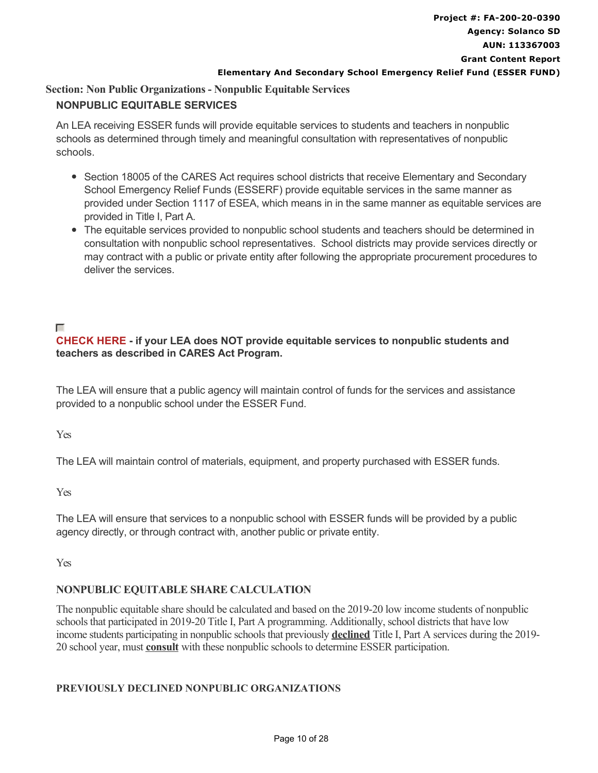# **Section: Non Public Organizations - Nonpublic Equitable Services NONPUBLIC EQUITABLE SERVICES**

An LEA receiving ESSER funds will provide equitable services to students and teachers in nonpublic schools as determined through timely and meaningful consultation with representatives of nonpublic schools.

- Section 18005 of the CARES Act requires school districts that receive Elementary and Secondary School Emergency Relief Funds (ESSERF) provide equitable services in the same manner as provided under Section 1117 of ESEA, which means in in the same manner as equitable services are provided in Title I, Part A.
- The equitable services provided to nonpublic school students and teachers should be determined in consultation with nonpublic school representatives. School districts may provide services directly or may contract with a public or private entity after following the appropriate procurement procedures to deliver the services.

# Г

**CHECK HERE - if your LEA does NOT provide equitable services to nonpublic students and teachers as described in CARES Act Program.** 

The LEA will ensure that a public agency will maintain control of funds for the services and assistance provided to a nonpublic school under the ESSER Fund.

Yes

The LEA will maintain control of materials, equipment, and property purchased with ESSER funds.

Yes

The LEA will ensure that services to a nonpublic school with ESSER funds will be provided by a public agency directly, or through contract with, another public or private entity.

Yes

## **NONPUBLIC EQUITABLE SHARE CALCULATION**

The nonpublic equitable share should be calculated and based on the 2019-20 low income students of nonpublic schools that participated in 2019-20 Title I, Part A programming. Additionally, school districts that have low income students participating in nonpublic schools that previously **declined** Title I, Part A services during the 2019- 20 school year, must **consult** with these nonpublic schools to determine ESSER participation.

#### **PREVIOUSLY DECLINED NONPUBLIC ORGANIZATIONS**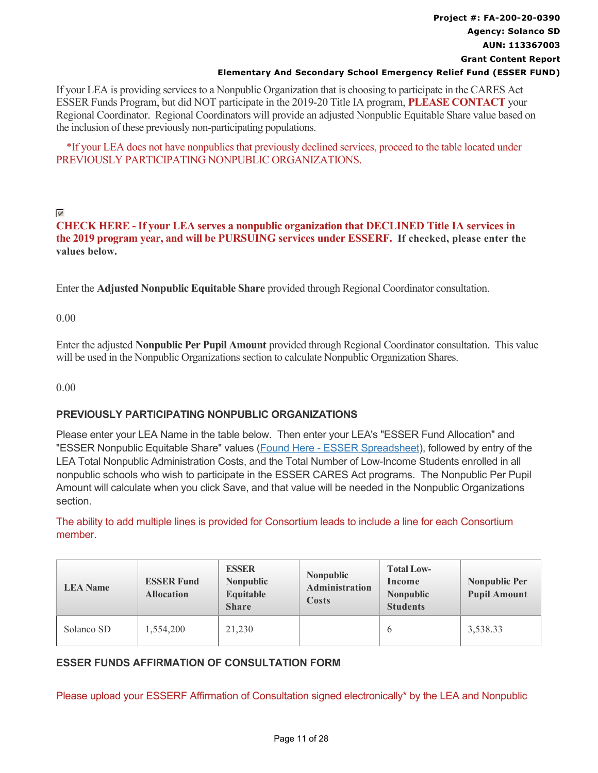If your LEA is providing services to a Nonpublic Organization that is choosing to participate in the CARES Act ESSER Funds Program, but did NOT participate in the 2019-20 Title IA program, **PLEASE CONTACT** your Regional Coordinator. Regional Coordinators will provide an adjusted Nonpublic Equitable Share value based on the inclusion of these previously non-participating populations.

 \*If your LEA does not have nonpublics that previously declined services, proceed to the table located under PREVIOUSLY PARTICIPATING NONPUBLIC ORGANIZATIONS.

 $\overline{\mathbf{v}}$ 

**CHECK HERE - If your LEA serves a nonpublic organization that DECLINED Title IA services in the 2019 program year, and will be PURSUING services under ESSERF. If checked, please enter the values below.**

Enter the **Adjusted Nonpublic Equitable Share** provided through Regional Coordinator consultation.

0.00

Enter the adjusted **Nonpublic Per Pupil Amount** provided through Regional Coordinator consultation. This value will be used in the Nonpublic Organizations section to calculate Nonpublic Organization Shares.

0.00

#### **PREVIOUSLY PARTICIPATING NONPUBLIC ORGANIZATIONS**

Please enter your LEA Name in the table below. Then enter your LEA's "ESSER Fund Allocation" and "ESSER Nonpublic Equitable Share" values ([Found Here - ESSER Spreadsheet\)](https://www.education.pa.gov/Schools/safeschools/emergencyplanning/COVID-19/CARESAct/May2020/Pages/Allocations.aspx), followed by entry of the LEA Total Nonpublic Administration Costs, and the Total Number of Low-Income Students enrolled in all nonpublic schools who wish to participate in the ESSER CARES Act programs. The Nonpublic Per Pupil Amount will calculate when you click Save, and that value will be needed in the Nonpublic Organizations section.

The ability to add multiple lines is provided for Consortium leads to include a line for each Consortium member.

| <b>LEA</b> Name | <b>ESSER Fund</b><br><b>Allocation</b> | <b>ESSER</b><br><b>Nonpublic</b><br>Equitable<br><b>Share</b> | <b>Nonpublic</b><br><b>Administration</b><br>Costs | <b>Total Low-</b><br>Income<br><b>Nonpublic</b><br><b>Students</b> | <b>Nonpublic Per</b><br><b>Pupil Amount</b> |
|-----------------|----------------------------------------|---------------------------------------------------------------|----------------------------------------------------|--------------------------------------------------------------------|---------------------------------------------|
| Solanco SD      | 1,554,200                              | 21,230                                                        |                                                    | b                                                                  | 3,538.33                                    |

#### **ESSER FUNDS AFFIRMATION OF CONSULTATION FORM**

Please upload your ESSERF Affirmation of Consultation signed electronically\* by the LEA and Nonpublic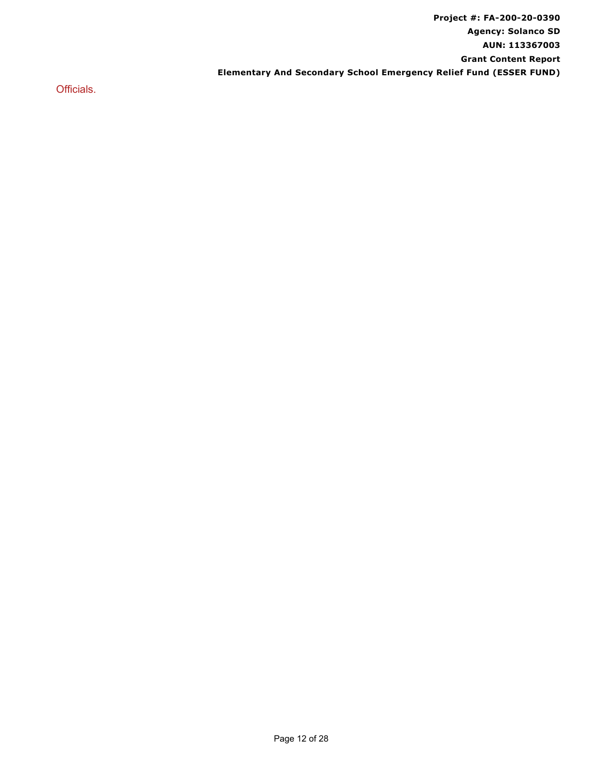Officials.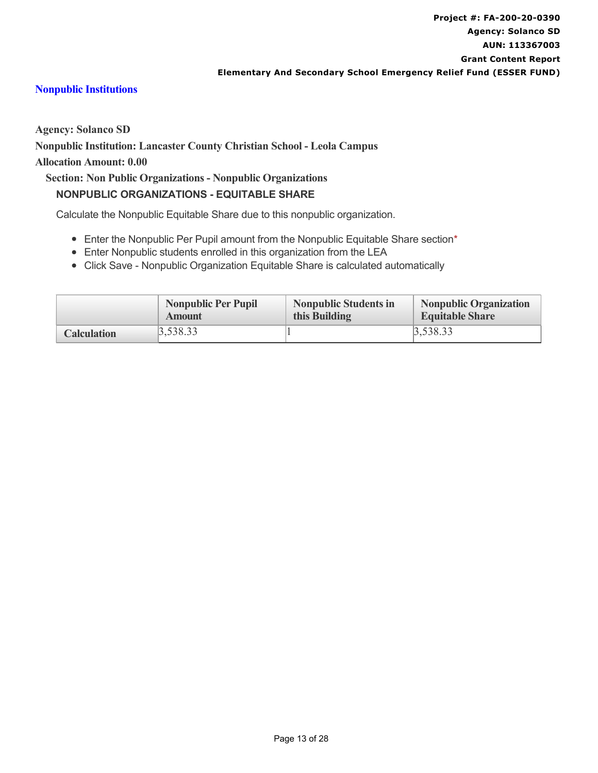**Agency: Solanco SD Nonpublic Institution: Lancaster County Christian School - Leola Campus Allocation Amount: 0.00 Section: Non Public Organizations - Nonpublic Organizations NONPUBLIC ORGANIZATIONS - EQUITABLE SHARE**

- Enter the Nonpublic Per Pupil amount from the Nonpublic Equitable Share section\*
- Enter Nonpublic students enrolled in this organization from the LEA
- Click Save Nonpublic Organization Equitable Share is calculated automatically

|                    | <b>Nonpublic Per Pupil</b> | <b>Nonpublic Students in</b> | <b>Nonpublic Organization</b> |
|--------------------|----------------------------|------------------------------|-------------------------------|
|                    | <b>Amount</b>              | this Building                | <b>Equitable Share</b>        |
| <b>Calculation</b> | 3,538.33                   |                              | 3,538.33                      |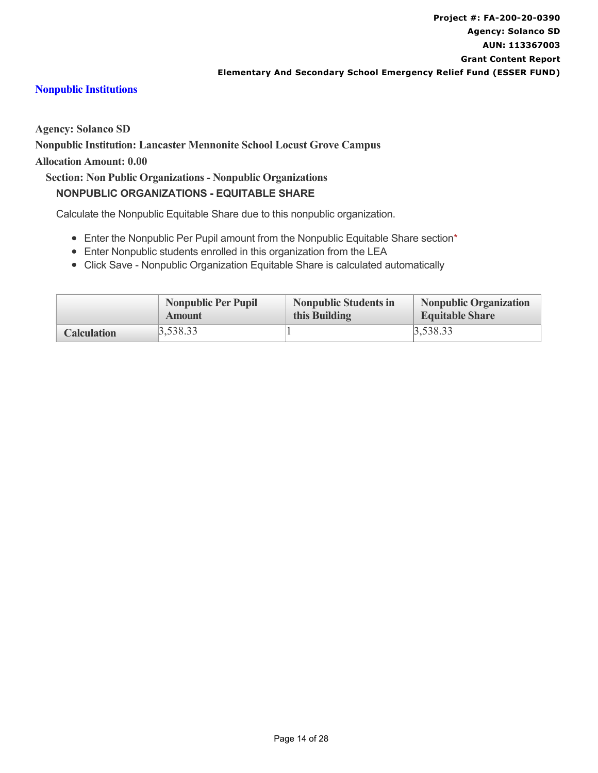**Agency: Solanco SD Nonpublic Institution: Lancaster Mennonite School Locust Grove Campus Allocation Amount: 0.00 Section: Non Public Organizations - Nonpublic Organizations**

# **NONPUBLIC ORGANIZATIONS - EQUITABLE SHARE**

- Enter the Nonpublic Per Pupil amount from the Nonpublic Equitable Share section\*
- Enter Nonpublic students enrolled in this organization from the LEA
- Click Save Nonpublic Organization Equitable Share is calculated automatically

|                    | <b>Nonpublic Per Pupil</b> | <b>Nonpublic Students in</b> | <b>Nonpublic Organization</b> |
|--------------------|----------------------------|------------------------------|-------------------------------|
|                    | <b>Amount</b>              | this Building                | <b>Equitable Share</b>        |
| <b>Calculation</b> | 3,538.33                   |                              | 3,538.33                      |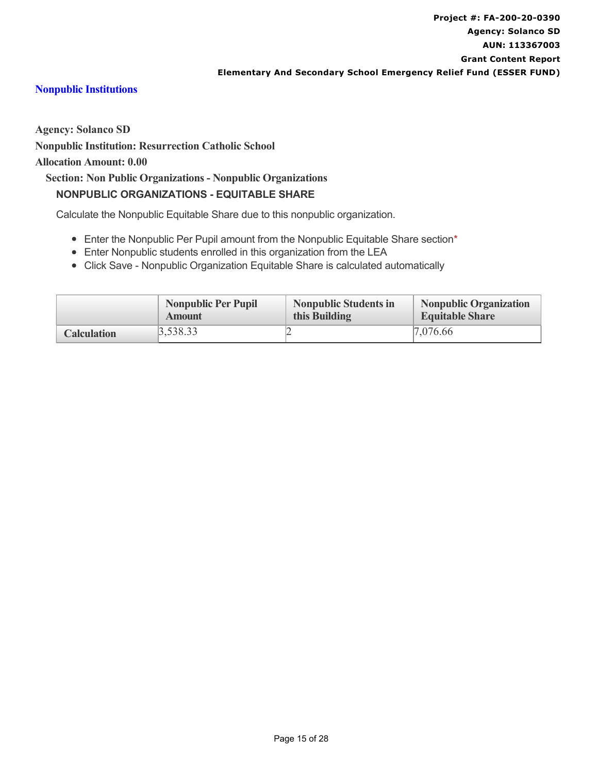**Agency: Solanco SD Nonpublic Institution: Resurrection Catholic School Allocation Amount: 0.00 Section: Non Public Organizations - Nonpublic Organizations NONPUBLIC ORGANIZATIONS - EQUITABLE SHARE**

- Enter the Nonpublic Per Pupil amount from the Nonpublic Equitable Share section\*
- Enter Nonpublic students enrolled in this organization from the LEA
- Click Save Nonpublic Organization Equitable Share is calculated automatically

|                    | <b>Nonpublic Per Pupil</b> | <b>Nonpublic Students in</b> | <b>Nonpublic Organization</b> |
|--------------------|----------------------------|------------------------------|-------------------------------|
|                    | <b>Amount</b>              | this Building                | <b>Equitable Share</b>        |
| <b>Calculation</b> | 3,538.33                   |                              | 7,076.66                      |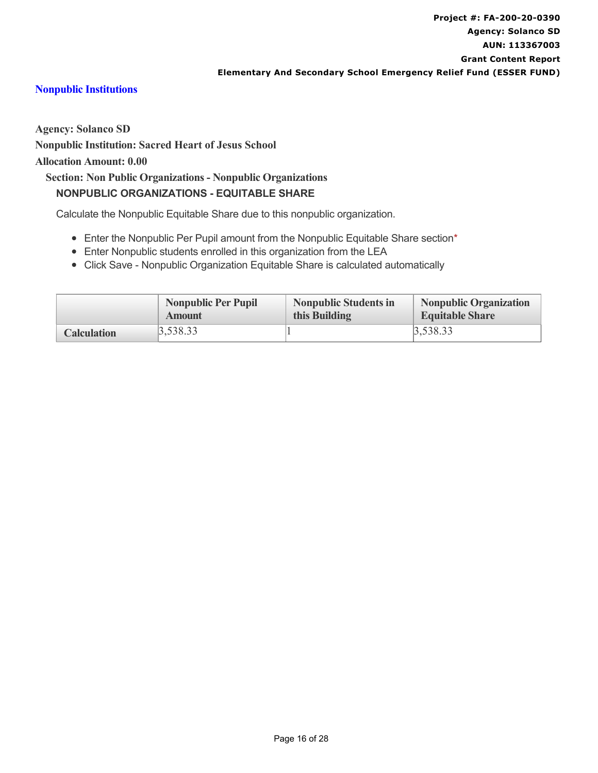**Agency: Solanco SD Nonpublic Institution: Sacred Heart of Jesus School Allocation Amount: 0.00 Section: Non Public Organizations - Nonpublic Organizations NONPUBLIC ORGANIZATIONS - EQUITABLE SHARE**

- Enter the Nonpublic Per Pupil amount from the Nonpublic Equitable Share section\*
- Enter Nonpublic students enrolled in this organization from the LEA
- Click Save Nonpublic Organization Equitable Share is calculated automatically

|                    | <b>Nonpublic Per Pupil</b> | <b>Nonpublic Students in</b> | <b>Nonpublic Organization</b> |
|--------------------|----------------------------|------------------------------|-------------------------------|
|                    | <b>Amount</b>              | this Building                | <b>Equitable Share</b>        |
| <b>Calculation</b> | 3,538.33                   |                              | 3,538.33                      |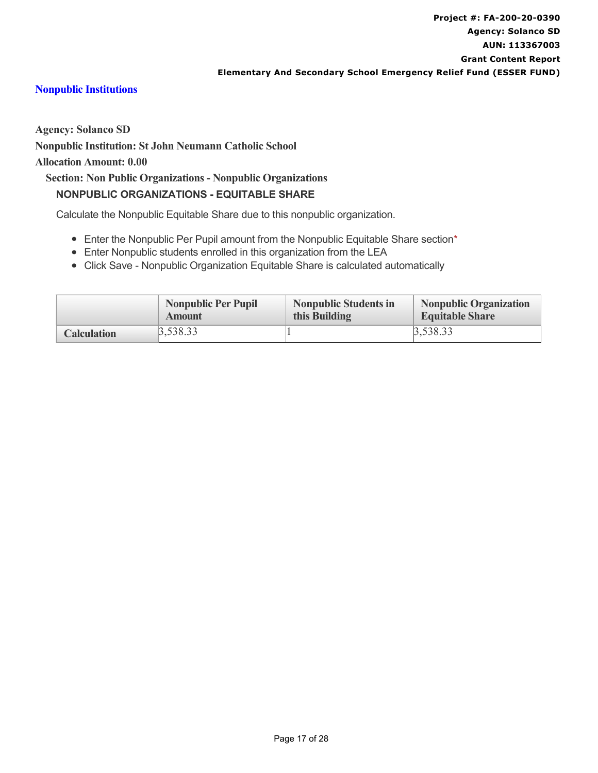**Agency: Solanco SD Nonpublic Institution: St John Neumann Catholic School Allocation Amount: 0.00 Section: Non Public Organizations - Nonpublic Organizations NONPUBLIC ORGANIZATIONS - EQUITABLE SHARE**

- Enter the Nonpublic Per Pupil amount from the Nonpublic Equitable Share section\*
- Enter Nonpublic students enrolled in this organization from the LEA
- Click Save Nonpublic Organization Equitable Share is calculated automatically

|                    | <b>Nonpublic Per Pupil</b> | <b>Nonpublic Students in</b> | <b>Nonpublic Organization</b> |
|--------------------|----------------------------|------------------------------|-------------------------------|
|                    | <b>Amount</b>              | this Building                | <b>Equitable Share</b>        |
| <b>Calculation</b> | 3,538.33                   |                              | 3,538.33                      |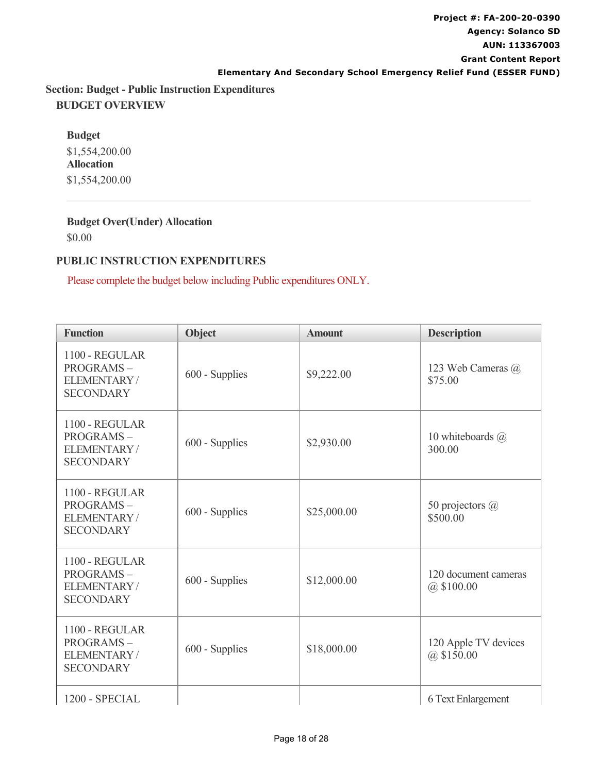# **Section: Budget - Public Instruction Expenditures BUDGET OVERVIEW**

**Budget** \$1,554,200.00 **Allocation** \$1,554,200.00

## **Budget Over(Under) Allocation**

\$0.00

## **PUBLIC INSTRUCTION EXPENDITURES**

Please complete the budget below including Public expenditures ONLY.

| <b>Function</b>                                                | Object         | <b>Amount</b> | <b>Description</b>                     |
|----------------------------------------------------------------|----------------|---------------|----------------------------------------|
| 1100 - REGULAR<br>PROGRAMS-<br>ELEMENTARY/<br><b>SECONDARY</b> | 600 - Supplies | \$9,222.00    | 123 Web Cameras @<br>\$75.00           |
| 1100 - REGULAR<br>PROGRAMS-<br>ELEMENTARY/<br><b>SECONDARY</b> | 600 - Supplies | \$2,930.00    | 10 whiteboards @<br>300.00             |
| 1100 - REGULAR<br>PROGRAMS-<br>ELEMENTARY/<br><b>SECONDARY</b> | 600 - Supplies | \$25,000.00   | 50 projectors @<br>\$500.00            |
| 1100 - REGULAR<br>PROGRAMS-<br>ELEMENTARY/<br><b>SECONDARY</b> | 600 - Supplies | \$12,000.00   | 120 document cameras<br>@\$100.00      |
| 1100 - REGULAR<br>PROGRAMS-<br>ELEMENTARY/<br><b>SECONDARY</b> | 600 - Supplies | \$18,000.00   | 120 Apple TV devices<br>$(a)$ \$150.00 |
| 1200 - SPECIAL                                                 |                |               | 6 Text Enlargement                     |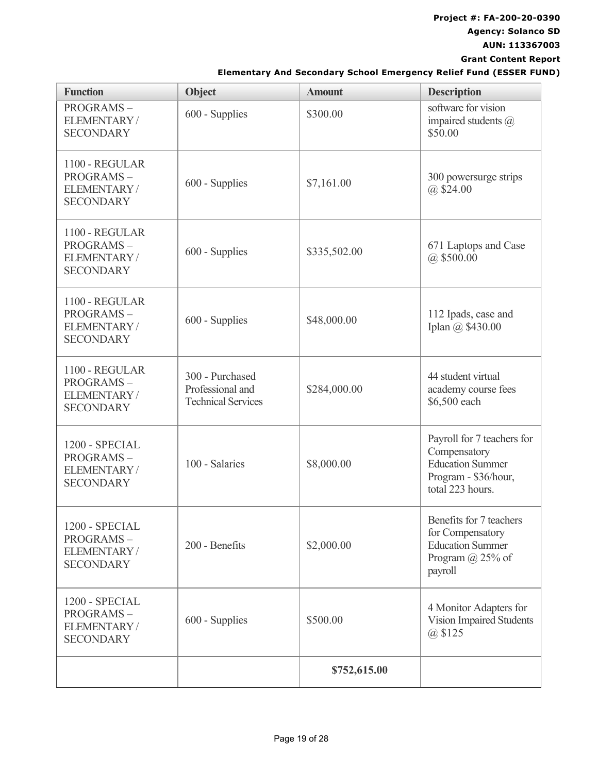**Project #: FA-200-20-0390 Agency: Solanco SD AUN: 113367003**

**Grant Content Report**

| <b>Elementary And Secondary School Emergency Relief Fund (ESSER FUND)</b> |  |  |
|---------------------------------------------------------------------------|--|--|
|---------------------------------------------------------------------------|--|--|

| <b>Function</b>                                                | Object                                                           | <b>Description</b> |                                                                                                                   |  |  |
|----------------------------------------------------------------|------------------------------------------------------------------|--------------------|-------------------------------------------------------------------------------------------------------------------|--|--|
| PROGRAMS-<br>ELEMENTARY/<br><b>SECONDARY</b>                   | 600 - Supplies                                                   | \$300.00           | software for vision<br>impaired students @<br>\$50.00                                                             |  |  |
| 1100 - REGULAR<br>PROGRAMS-<br>ELEMENTARY/<br><b>SECONDARY</b> | 600 - Supplies                                                   | \$7,161.00         | 300 powersurge strips<br>$(a)$ \$24.00                                                                            |  |  |
| 1100 - REGULAR<br>PROGRAMS-<br>ELEMENTARY/<br><b>SECONDARY</b> | 600 - Supplies                                                   | \$335,502.00       | 671 Laptops and Case<br>$(a)$ \$500.00                                                                            |  |  |
| 1100 - REGULAR<br>PROGRAMS-<br>ELEMENTARY/<br><b>SECONDARY</b> | 600 - Supplies                                                   | \$48,000.00        | 112 Ipads, case and<br>Iplan @ \$430.00                                                                           |  |  |
| 1100 - REGULAR<br>PROGRAMS-<br>ELEMENTARY/<br><b>SECONDARY</b> | 300 - Purchased<br>Professional and<br><b>Technical Services</b> | \$284,000.00       | 44 student virtual<br>academy course fees<br>\$6,500 each                                                         |  |  |
| 1200 - SPECIAL<br>PROGRAMS-<br>ELEMENTARY/<br><b>SECONDARY</b> | 100 - Salaries                                                   | \$8,000.00         | Payroll for 7 teachers for<br>Compensatory<br><b>Education Summer</b><br>Program - \$36/hour,<br>total 223 hours. |  |  |
| 1200 - SPECIAL<br>PROGRAMS-<br>ELEMENTARY/<br><b>SECONDARY</b> | 200 - Benefits                                                   | \$2,000.00         | Benefits for 7 teachers<br>for Compensatory<br><b>Education Summer</b><br>Program $\omega$ 25% of<br>payroll      |  |  |
| 1200 - SPECIAL<br>PROGRAMS-<br>ELEMENTARY/<br><b>SECONDARY</b> | 600 - Supplies                                                   | \$500.00           | 4 Monitor Adapters for<br>Vision Impaired Students<br>@ \$125                                                     |  |  |
|                                                                |                                                                  | \$752,615.00       |                                                                                                                   |  |  |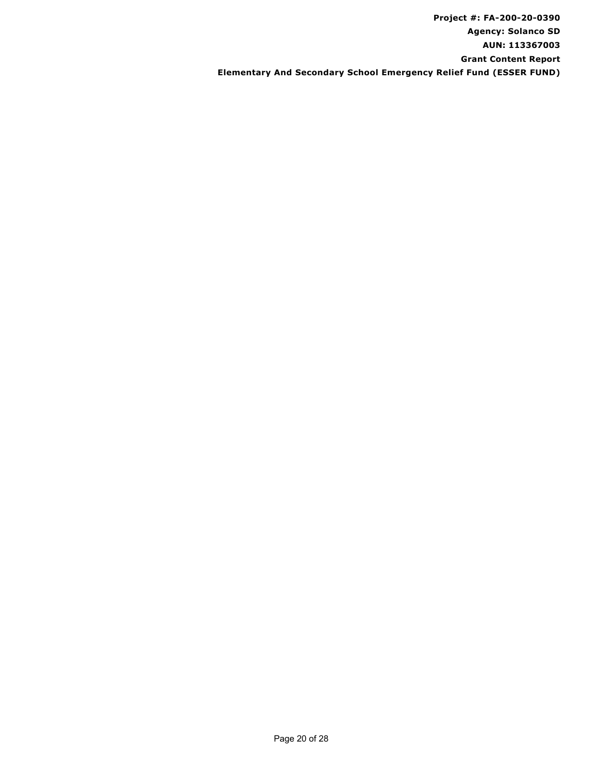**Project #: FA-200-20-0390 Agency: Solanco SD AUN: 113367003 Grant Content Report Elementary And Secondary School Emergency Relief Fund (ESSER FUND)**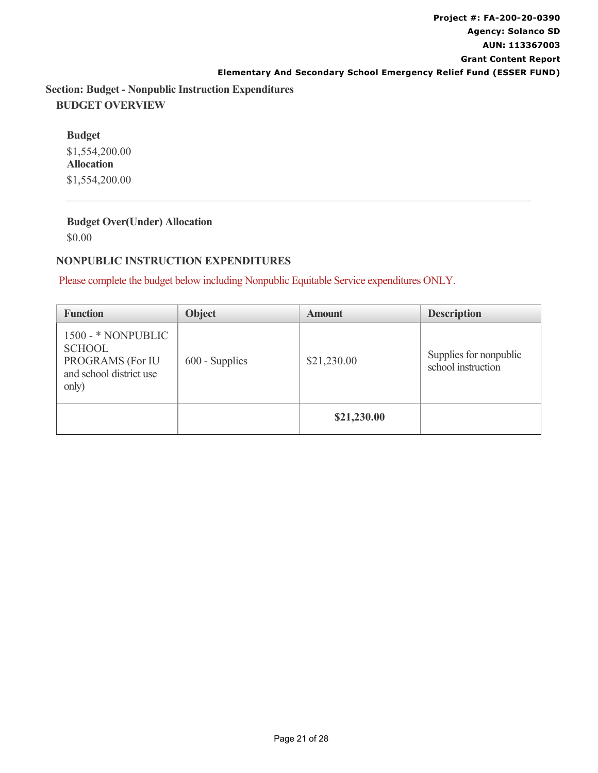# **Section: Budget - Nonpublic Instruction Expenditures BUDGET OVERVIEW**

**Budget** \$1,554,200.00 **Allocation** \$1,554,200.00

## **Budget Over(Under) Allocation**

\$0.00

## **NONPUBLIC INSTRUCTION EXPENDITURES**

Please complete the budget below including Nonpublic Equitable Service expenditures ONLY.

| <b>Function</b>                                                                             | <b>Object</b>  | <b>Amount</b> | <b>Description</b>                           |
|---------------------------------------------------------------------------------------------|----------------|---------------|----------------------------------------------|
| 1500 - * NONPUBLIC<br><b>SCHOOL</b><br>PROGRAMS (For IU<br>and school district use<br>only) | 600 - Supplies | \$21,230.00   | Supplies for nonpublic<br>school instruction |
|                                                                                             |                | \$21,230.00   |                                              |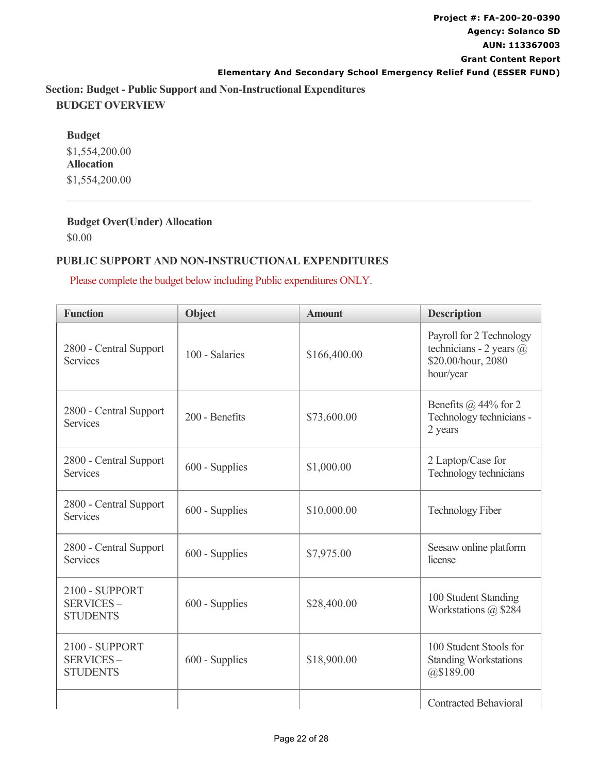**Section: Budget - Public Support and Non-Instructional Expenditures BUDGET OVERVIEW**

**Budget** \$1,554,200.00 **Allocation** \$1,554,200.00

## **Budget Over(Under) Allocation**

\$0.00

## **PUBLIC SUPPORT AND NON-INSTRUCTIONAL EXPENDITURES**

## Please complete the budget below including Public expenditures ONLY.

| <b>Function</b>                                | Object                       | <b>Amount</b> | <b>Description</b>                                                                            |  |
|------------------------------------------------|------------------------------|---------------|-----------------------------------------------------------------------------------------------|--|
| 2800 - Central Support<br><b>Services</b>      | 100 - Salaries               | \$166,400.00  | Payroll for 2 Technology<br>technicians - 2 years $\omega$<br>\$20.00/hour, 2080<br>hour/year |  |
| 2800 - Central Support<br><b>Services</b>      | 200 - Benefits               | \$73,600.00   | Benefits $\omega$ 44% for 2<br>Technology technicians -<br>2 years                            |  |
| 2800 - Central Support<br><b>Services</b>      | \$1,000.00<br>600 - Supplies |               | 2 Laptop/Case for<br>Technology technicians                                                   |  |
| 2800 - Central Support<br><b>Services</b>      | 600 - Supplies               | \$10,000.00   | <b>Technology Fiber</b>                                                                       |  |
| 2800 - Central Support<br><b>Services</b>      | 600 - Supplies               | \$7,975.00    | Seesaw online platform<br>license                                                             |  |
| 2100 - SUPPORT<br>SERVICES-<br><b>STUDENTS</b> | 600 - Supplies               | \$28,400.00   | 100 Student Standing<br>Workstations @ \$284                                                  |  |
| 2100 - SUPPORT<br>SERVICES-<br><b>STUDENTS</b> | 600 - Supplies               | \$18,900.00   | 100 Student Stools for<br><b>Standing Workstations</b><br>@\$189.00                           |  |
|                                                |                              |               | <b>Contracted Behavioral</b>                                                                  |  |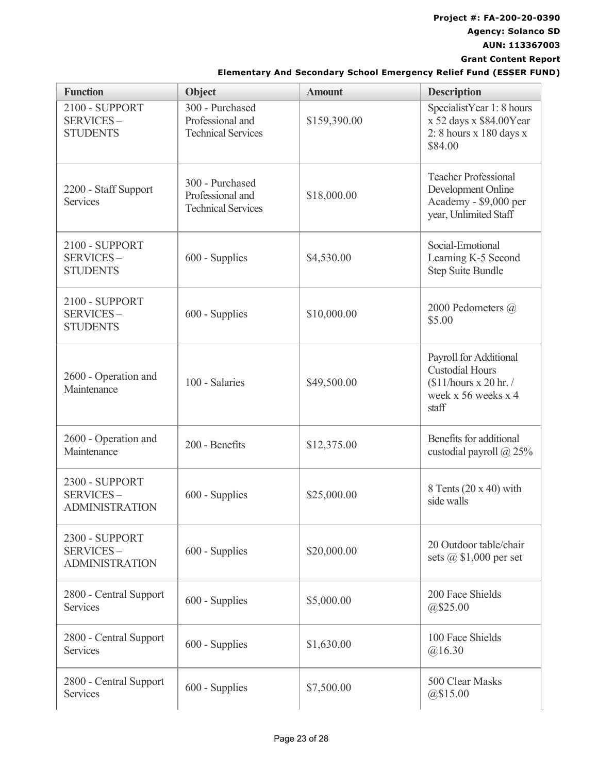**Project #: FA-200-20-0390 Agency: Solanco SD AUN: 113367003 Grant Content Report**

|  | <b>Elementary And Secondary School Emergency Relief Fund (ESSER FUND)</b> |  |  |
|--|---------------------------------------------------------------------------|--|--|
|  |                                                                           |  |  |

| <b>Function</b>                                      | Object                                                           | <b>Amount</b> | <b>Description</b>                                                                                              |  |
|------------------------------------------------------|------------------------------------------------------------------|---------------|-----------------------------------------------------------------------------------------------------------------|--|
| 2100 - SUPPORT<br>SERVICES-<br><b>STUDENTS</b>       | 300 - Purchased<br>Professional and<br><b>Technical Services</b> | \$159,390.00  | SpecialistYear 1: 8 hours<br>x 52 days x \$84.00Year<br>2: 8 hours x 180 days x<br>\$84.00                      |  |
| 2200 - Staff Support<br>Services                     | 300 - Purchased<br>Professional and<br><b>Technical Services</b> | \$18,000.00   | <b>Teacher Professional</b><br>Development Online<br>Academy - \$9,000 per<br>year, Unlimited Staff             |  |
| 2100 - SUPPORT<br>SERVICES-<br><b>STUDENTS</b>       | 600 - Supplies                                                   | \$4,530.00    | Social-Emotional<br>Learning K-5 Second<br><b>Step Suite Bundle</b>                                             |  |
| 2100 - SUPPORT<br>SERVICES-<br><b>STUDENTS</b>       | 600 - Supplies                                                   | \$10,000.00   | 2000 Pedometers @<br>\$5.00                                                                                     |  |
| 2600 - Operation and<br>Maintenance                  | 100 - Salaries                                                   | \$49,500.00   | Payroll for Additional<br><b>Custodial Hours</b><br>$$11/hours \times 20 hr.$<br>week x 56 weeks $x$ 4<br>staff |  |
| 2600 - Operation and<br>Maintenance                  | 200 - Benefits                                                   | \$12,375.00   | Benefits for additional<br>custodial payroll $@$ 25%                                                            |  |
| 2300 - SUPPORT<br>SERVICES-<br><b>ADMINISTRATION</b> | 600 - Supplies                                                   | \$25,000.00   | 8 Tents (20 x 40) with<br>side walls                                                                            |  |
| 2300 - SUPPORT<br>SERVICES-<br><b>ADMINISTRATION</b> | 600 - Supplies                                                   | \$20,000.00   | 20 Outdoor table/chair<br>sets $(a)$ \$1,000 per set                                                            |  |
| 2800 - Central Support<br><b>Services</b>            | 600 - Supplies                                                   | \$5,000.00    | 200 Face Shields<br>$(a)$ \$25.00                                                                               |  |
| 2800 - Central Support<br>Services                   | 600 - Supplies                                                   | \$1,630.00    | 100 Face Shields<br>@16.30                                                                                      |  |
| 2800 - Central Support<br><b>Services</b>            | 600 - Supplies                                                   | \$7,500.00    | 500 Clear Masks<br>@\$15.00                                                                                     |  |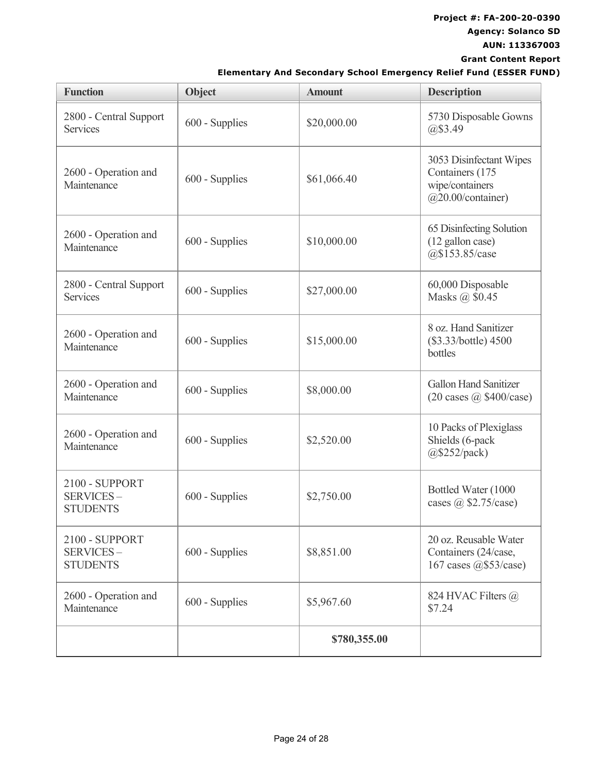**Project #: FA-200-20-0390 Agency: Solanco SD AUN: 113367003**

**Grant Content Report**

| <b>Function</b>                                | Object         | <b>Amount</b> | <b>Description</b>                                                                      |  |
|------------------------------------------------|----------------|---------------|-----------------------------------------------------------------------------------------|--|
| 2800 - Central Support<br><b>Services</b>      | 600 - Supplies | \$20,000.00   | 5730 Disposable Gowns<br>$(2)$ \$3.49                                                   |  |
| 2600 - Operation and<br>Maintenance            | 600 - Supplies | \$61,066.40   | 3053 Disinfectant Wipes<br>Containers (175<br>wipe/containers<br>$(a)20.00$ /container) |  |
| 2600 - Operation and<br>Maintenance            | 600 - Supplies | \$10,000.00   | 65 Disinfecting Solution<br>(12 gallon case)<br>@\$153.85/case                          |  |
| 2800 - Central Support<br><b>Services</b>      | 600 - Supplies | \$27,000.00   | 60,000 Disposable<br>Masks @ \$0.45                                                     |  |
| 2600 - Operation and<br>Maintenance            | 600 - Supplies | \$15,000.00   | 8 oz. Hand Sanitizer<br>(\$3.33/bottle) 4500<br>bottles                                 |  |
| 2600 - Operation and<br>Maintenance            | 600 - Supplies | \$8,000.00    | <b>Gallon Hand Sanitizer</b><br>$(20 \text{ cases } (a) \$400/\text{case})$             |  |
| 2600 - Operation and<br>Maintenance            | 600 - Supplies | \$2,520.00    | 10 Packs of Plexiglass<br>Shields (6-pack<br>$(a)$ \$252/pack)                          |  |
| 2100 - SUPPORT<br>SERVICES-<br><b>STUDENTS</b> | 600 - Supplies | \$2,750.00    | Bottled Water (1000<br>cases $(a)$ \$2.75/case)                                         |  |
| 2100 - SUPPORT<br>SERVICES-<br><b>STUDENTS</b> | 600 - Supplies | \$8,851.00    | 20 oz. Reusable Water<br>Containers (24/case,<br>167 cases $(0.853/case)$               |  |
| 2600 - Operation and<br>Maintenance            | 600 - Supplies | \$5,967.60    | 824 HVAC Filters $\omega$<br>\$7.24                                                     |  |
|                                                |                | \$780,355.00  |                                                                                         |  |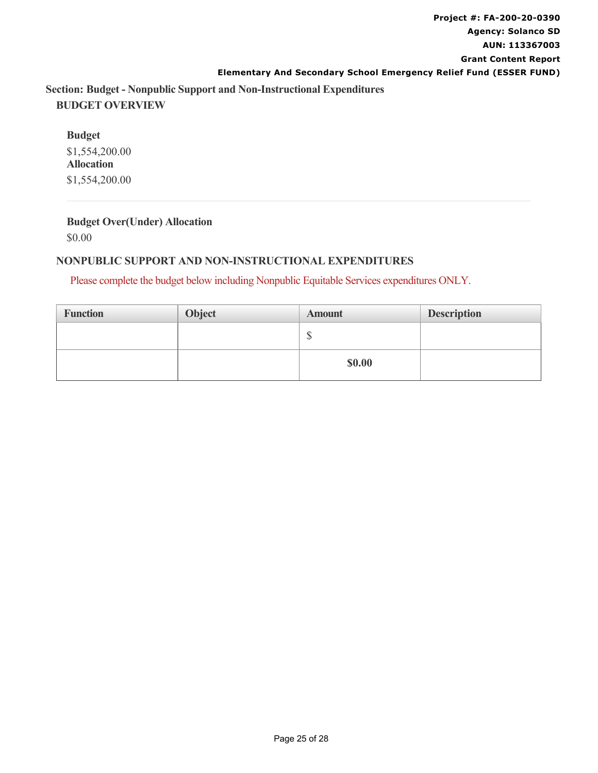**Section: Budget - Nonpublic Support and Non-Instructional Expenditures BUDGET OVERVIEW**

**Budget** \$1,554,200.00 **Allocation** \$1,554,200.00

## **Budget Over(Under) Allocation**

\$0.00

## **NONPUBLIC SUPPORT AND NON-INSTRUCTIONAL EXPENDITURES**

Please complete the budget below including Nonpublic Equitable Services expenditures ONLY.

| <b>Function</b> | Object | <b>Amount</b> | <b>Description</b> |
|-----------------|--------|---------------|--------------------|
|                 |        | ۰U            |                    |
|                 |        | <b>\$0.00</b> |                    |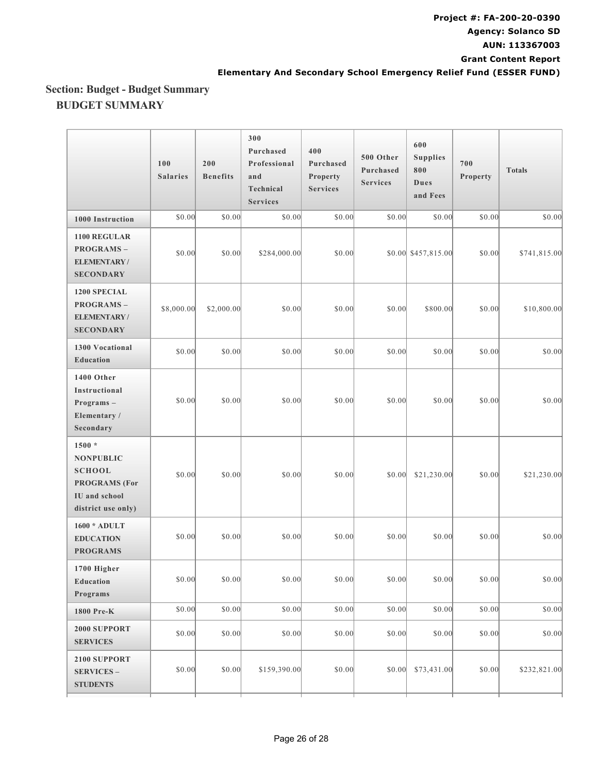## **Section: Budget - Budget Summary BUDGET SUMMARY**

|                                                                                                              | 100<br><b>Salaries</b> | 200<br><b>Benefits</b> | 300<br>Purchased<br>Professional<br>and<br>Technical<br><b>Services</b> | 400<br>Purchased<br>Property<br><b>Services</b> | 500 Other<br>Purchased<br><b>Services</b> | 600<br><b>Supplies</b><br>800<br>Dues<br>and Fees | 700<br>Property | <b>Totals</b> |
|--------------------------------------------------------------------------------------------------------------|------------------------|------------------------|-------------------------------------------------------------------------|-------------------------------------------------|-------------------------------------------|---------------------------------------------------|-----------------|---------------|
| 1000 Instruction                                                                                             | \$0.00                 | \$0.00                 | \$0.00                                                                  | \$0.00                                          | \$0.00                                    | \$0.00                                            | \$0.00          | \$0.00        |
| 1100 REGULAR<br><b>PROGRAMS-</b><br><b>ELEMENTARY/</b><br><b>SECONDARY</b>                                   | \$0.00                 | \$0.00                 | \$284,000.00                                                            | \$0.00                                          |                                           | \$0.00 \$457,815.00                               | \$0.00          | \$741,815.00  |
| <b>1200 SPECIAL</b><br><b>PROGRAMS-</b><br>ELEMENTARY/<br><b>SECONDARY</b>                                   | \$8,000.00             | \$2,000.00             | \$0.00                                                                  | \$0.00                                          | \$0.00                                    | \$800.00                                          | \$0.00          | \$10,800.00   |
| 1300 Vocational<br>Education                                                                                 | \$0.00                 | \$0.00                 | \$0.00                                                                  | \$0.00                                          | \$0.00                                    | \$0.00                                            | \$0.00          | \$0.00        |
| 1400 Other<br>Instructional<br>Programs-<br>Elementary /<br>Secondary                                        | \$0.00                 | \$0.00                 | \$0.00                                                                  | \$0.00                                          | \$0.00                                    | \$0.00                                            | \$0.00          | \$0.00        |
| $1500 *$<br><b>NONPUBLIC</b><br><b>SCHOOL</b><br><b>PROGRAMS</b> (For<br>IU and school<br>district use only) | \$0.00                 | \$0.00                 | \$0.00                                                                  | \$0.00                                          | \$0.00                                    | \$21,230.00                                       | \$0.00          | \$21,230.00   |
| 1600 * ADULT<br><b>EDUCATION</b><br><b>PROGRAMS</b>                                                          | \$0.00                 | \$0.00                 | \$0.00                                                                  | \$0.00                                          | \$0.00                                    | \$0.00                                            | \$0.00          | \$0.00        |
| 1700 Higher<br>Education<br>Programs                                                                         | \$0.00                 | \$0.00                 | \$0.00                                                                  | \$0.00                                          | \$0.00                                    | \$0.00                                            | \$0.00          | \$0.00        |
| 1800 Pre-K                                                                                                   | \$0.00                 | \$0.00                 | \$0.00                                                                  | \$0.00                                          | \$0.00                                    | \$0.00                                            | \$0.00          | \$0.00        |
| 2000 SUPPORT<br><b>SERVICES</b>                                                                              | \$0.00                 | \$0.00                 | \$0.00                                                                  | \$0.00                                          | \$0.00                                    | \$0.00                                            | \$0.00          | \$0.00        |
| 2100 SUPPORT<br><b>SERVICES -</b><br><b>STUDENTS</b>                                                         | \$0.00                 | \$0.00                 | \$159,390.00                                                            | \$0.00                                          | \$0.00                                    | \$73,431.00                                       | \$0.00          | \$232,821.00  |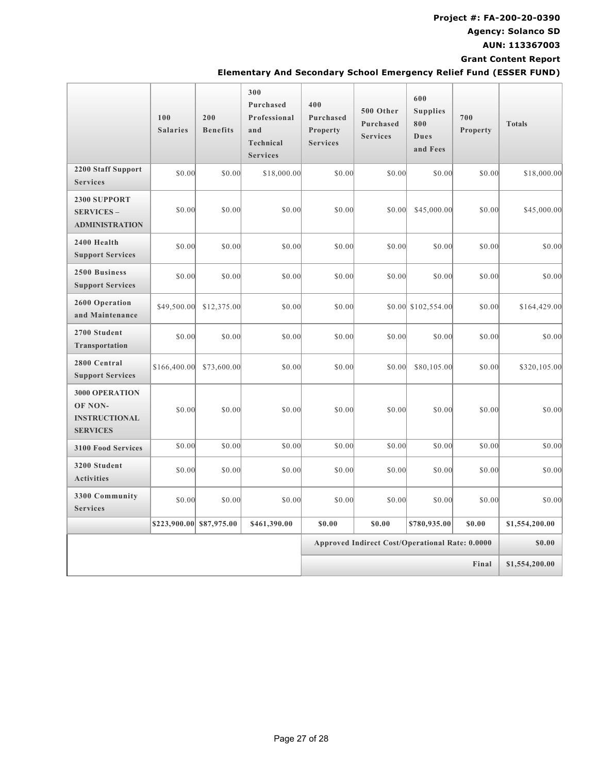**Project #: FA-200-20-0390 Agency: Solanco SD AUN: 113367003**

**Grant Content Report**

|  |  | <b>Elementary And Secondary School Emergency Relief Fund (ESSER FUND)</b> |  |
|--|--|---------------------------------------------------------------------------|--|
|  |  |                                                                           |  |

|                                                                      | 100<br><b>Salaries</b>   | 200<br><b>Benefits</b> | 300<br>Purchased<br>Professional<br>and<br><b>Technical</b><br><b>Services</b> | 400<br>Purchased<br>Property<br><b>Services</b> | 500 Other<br>Purchased<br><b>Services</b> | 600<br><b>Supplies</b><br>800<br>Dues<br>and Fees | 700<br>Property | <b>Totals</b>  |
|----------------------------------------------------------------------|--------------------------|------------------------|--------------------------------------------------------------------------------|-------------------------------------------------|-------------------------------------------|---------------------------------------------------|-----------------|----------------|
| 2200 Staff Support<br><b>Services</b>                                | \$0.00                   | \$0.00                 | \$18,000.00                                                                    | \$0.00                                          | \$0.00                                    | \$0.00                                            | \$0.00          | \$18,000.00    |
| 2300 SUPPORT<br><b>SERVICES -</b><br><b>ADMINISTRATION</b>           | \$0.00                   | \$0.00                 | \$0.00                                                                         | \$0.00                                          | \$0.00                                    | \$45,000.00                                       | \$0.00          | \$45,000.00    |
| 2400 Health<br><b>Support Services</b>                               | \$0.00                   | \$0.00                 | \$0.00                                                                         | \$0.00                                          | \$0.00                                    | \$0.00                                            | \$0.00          | \$0.00         |
| 2500 Business<br><b>Support Services</b>                             | \$0.00                   | \$0.00                 | \$0.00                                                                         | \$0.00                                          | \$0.00                                    | \$0.00                                            | \$0.00          | \$0.00         |
| 2600 Operation<br>and Maintenance                                    | \$49,500.00              | \$12,375.00            | \$0.00                                                                         | \$0.00                                          |                                           | \$0.00 \$102,554.00                               | \$0.00          | \$164,429.00   |
| 2700 Student<br>Transportation                                       | \$0.00                   | \$0.00                 | \$0.00                                                                         | \$0.00                                          | \$0.00                                    | \$0.00                                            | \$0.00          | \$0.00         |
| 2800 Central<br><b>Support Services</b>                              | \$166,400.00             | \$73,600.00            | \$0.00                                                                         | \$0.00                                          | \$0.00                                    | \$80,105.00                                       | \$0.00          | \$320,105.00   |
| 3000 OPERATION<br>OF NON-<br><b>INSTRUCTIONAL</b><br><b>SERVICES</b> | \$0.00                   | \$0.00                 | \$0.00                                                                         | \$0.00                                          | \$0.00                                    | \$0.00                                            | \$0.00          | \$0.00         |
| 3100 Food Services                                                   | \$0.00                   | \$0.00                 | \$0.00                                                                         | \$0.00                                          | \$0.00                                    | \$0.00                                            | \$0.00          | \$0.00         |
| 3200 Student<br><b>Activities</b>                                    | \$0.00                   | \$0.00                 | \$0.00                                                                         | \$0.00                                          | \$0.00                                    | \$0.00                                            | \$0.00          | \$0.00         |
| 3300 Community<br><b>Services</b>                                    | \$0.00                   | \$0.00                 | \$0.00                                                                         | \$0.00                                          | \$0.00                                    | \$0.00                                            | \$0.00          | \$0.00         |
|                                                                      | \$223,900.00 \$87,975.00 |                        | \$461,390.00                                                                   | \$0.00                                          | \$0.00                                    | \$780,935.00                                      | \$0.00          | \$1,554,200.00 |
|                                                                      |                          |                        |                                                                                | Approved Indirect Cost/Operational Rate: 0.0000 |                                           |                                                   |                 | \$0.00         |
|                                                                      |                          |                        |                                                                                |                                                 |                                           |                                                   | Final           | \$1,554,200.00 |